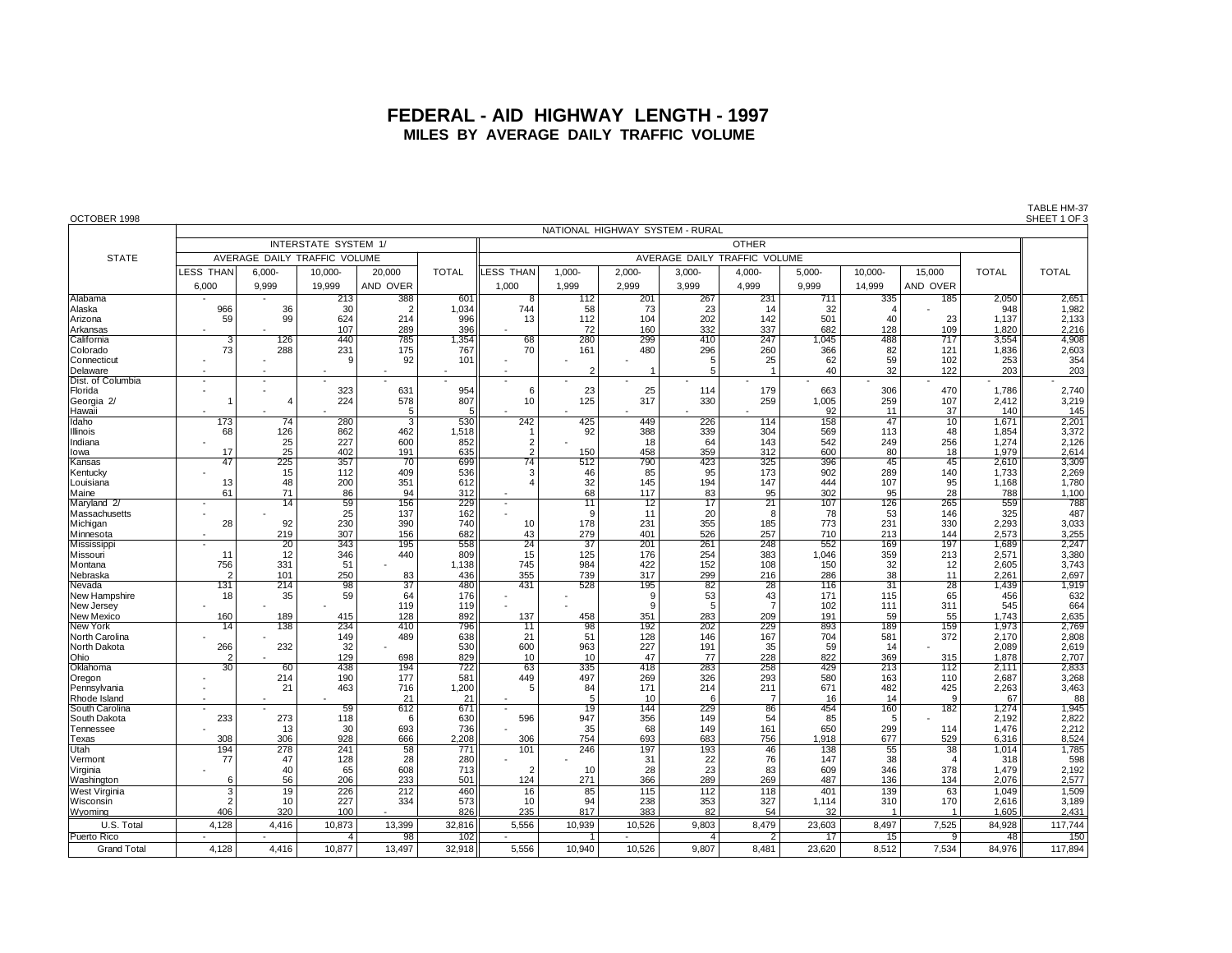## **FEDERAL - AID HIGHWAY LENGTH - 1997 MILES BY AVERAGE DAILY TRAFFIC VOLUME**

| OCTOBER 1998                   |                                 |                              |                      |                           |              |                          |                              |            |                       |                       |            |                        |                       |                | SHEET 1 OF 3          |  |
|--------------------------------|---------------------------------|------------------------------|----------------------|---------------------------|--------------|--------------------------|------------------------------|------------|-----------------------|-----------------------|------------|------------------------|-----------------------|----------------|-----------------------|--|
|                                | NATIONAL HIGHWAY SYSTEM - RURAL |                              |                      |                           |              |                          |                              |            |                       |                       |            |                        |                       |                |                       |  |
|                                |                                 |                              | INTERSTATE SYSTEM 1/ |                           |              | <b>OTHER</b>             |                              |            |                       |                       |            |                        |                       |                |                       |  |
| <b>STATE</b>                   |                                 | AVERAGE DAILY TRAFFIC VOLUME |                      |                           |              |                          | AVERAGE DAILY TRAFFIC VOLUME |            |                       |                       |            |                        |                       |                |                       |  |
|                                |                                 |                              |                      |                           |              |                          |                              |            |                       |                       |            |                        |                       |                |                       |  |
|                                | <b>LESS THAN</b>                | 6,000-                       | 10,000-              | 20,000                    | <b>TOTAL</b> | LESS THAN                | 1.000-                       | $2.000 -$  | $3.000 -$             | 4,000-                | $5,000 -$  | 10.000-                | 15.000                | <b>TOTAL</b>   | <b>TOTAL</b>          |  |
|                                | 6,000                           | 9,999                        | 19,999               | AND OVER                  |              | 1,000                    | 1,999                        | 2,999      | 3.999                 | 4,999                 | 9,999      | 14,999                 | AND OVER              |                |                       |  |
| Alabama                        |                                 |                              | 213                  | 388                       | 601          | $\overline{8}$           | 112                          | 201        | 267                   | 231                   | 711        | 335                    | 185                   | 2,050          | 2,651                 |  |
| Alaska                         | 966                             | 36                           | 30                   | $\overline{2}$            | 1,034        | 744                      | 58                           | 73         | 23                    | 14                    | 32         |                        |                       | 948            | 1,982                 |  |
| Arizona                        | 59                              | 99                           | 624                  | 214                       | 996          | 13                       | 112                          | 104        | 202                   | 142                   | 501        | 40                     | 23                    | 1.137          | 2,133                 |  |
| Arkansas                       |                                 |                              | 107                  | 289                       | 396          |                          | 72                           | 160        | 332                   | 337                   | 682        | 128                    | 109                   | 1.820          | 2,216                 |  |
| California                     | 3                               | 126                          | 440                  | 785                       | 1,354        | 68                       | 280                          | 299        | 410                   | 247                   | 1,045      | 488                    | 717                   | 3,554          | 4,908                 |  |
| Colorado                       | 73                              | 288                          | 231                  | 175                       | 767          | 70                       | 161                          | 480        | 296                   | 260                   | 366        | 82                     | 121                   | 1,836          | 2,603                 |  |
| Connecticut                    |                                 |                              | 9                    | 92                        | 101          |                          | $\overline{c}$               |            | $\frac{5}{5}$         | 25<br>$\overline{1}$  | 62         | 59                     | 102                   | 253            | 354                   |  |
| Delaware<br>Dist. of Columbia  |                                 |                              |                      |                           |              |                          |                              |            |                       |                       | 40         | 32                     | 122                   | 203            | 203                   |  |
| Florida                        |                                 |                              | 323                  | 631                       | 954          | 6                        | 23                           | 25         | 114                   | 179                   | 663        | 306                    | 470                   | 1.786          | 2,740                 |  |
| Georgia 2/                     |                                 | $\overline{4}$               | 224                  | 578                       | 807          | 10                       | 125                          | 317        | 330                   | 259                   | 1,005      | 259                    | 107                   | 2,412          |                       |  |
| Hawaii                         |                                 |                              |                      | 5                         | 5            |                          |                              |            |                       |                       | 92         | 11                     | 37                    | 140            | $3,219$<br>$145$      |  |
| Idaho                          | 173                             | 74                           | 280                  | $\overline{\overline{3}}$ | 530          | 242                      | 425                          | 449        | 226                   | 114                   | 158        | 47                     | 10                    | 1,671          | 2,201                 |  |
| Illinois                       | 68                              | 126                          | 862                  | 462                       | 1,518        |                          | 92                           | 388        | 339                   | 304                   | 569        | 113                    | 48                    | 1,854          | 3,372                 |  |
| Indiana                        |                                 | 25                           | 227                  | 600                       | 852          | $\overline{2}$           |                              | 18         | 64                    | 143                   | 542        | 249                    | 256                   | 1,274          | 2,126                 |  |
| lowa                           | 17                              | 25                           | 402                  | 191                       | 635          | $\overline{2}$           | 150                          | 458        | 359                   | 312                   | 600        | 80                     | 18                    | 1,979          | 2,614                 |  |
| Kansas                         | 47                              | 225                          | 357                  | 70                        | 699          | $\overline{74}$          | 512                          | 790        | 423                   | 325                   | 396        | 45                     | 45                    | 2,610          | 3,309                 |  |
| Kentucky                       |                                 | 15<br>48                     | 112                  | 409<br>351                | 536          |                          | 46<br>32                     | 85         | 95<br>194             | 173<br>147            | 902<br>444 | 289<br>107             | 140                   | 1,733<br>1,168 | 2,269                 |  |
| Louisiana<br>Maine             | 13<br>61                        | 71                           | 200<br>86            | 94                        | 612<br>312   |                          | 68                           | 145<br>117 | 83                    | 95                    | 302        | 95                     | 95<br>28              | 788            | 1,780<br>1,100        |  |
| Maryland 2/                    |                                 | 14                           | 59                   | 156                       | 229          | $\overline{\phantom{a}}$ | 11                           | 12         | 17                    | $\overline{21}$       | 107        | 126                    | 265                   | 559            | 788                   |  |
| Massachusetts                  |                                 |                              | 25                   | 137                       | 162          |                          | .9                           | 11         | 20                    | 8                     | 78         | 53                     | 146                   | 325            | 487                   |  |
| Michigan                       | 28                              | 92                           | 230                  | 390                       | 740          | 10                       | 178                          | 231        | 355                   | 185                   | 773        | 231                    | 330                   | 2,293          | 3,033                 |  |
| Minnesota                      |                                 | 219                          | 307                  | 156                       | 682          | 43                       | 279                          | 401        | 526                   | 257                   | 710        | 213                    | 144                   | 2.573          | 3,255                 |  |
| Mississippi                    |                                 | 20                           | 343                  | 195                       | 558          | $\overline{24}$          | $\overline{37}$              | 201        | 261                   | 248                   | 552        | 169                    | 197                   | 1,689          | 2,247                 |  |
| Missouri                       | 11                              | 12                           | 346                  | 440                       | 809          | 15                       | 125                          | 176        | 254                   | 383                   | 1,046      | 359                    | 213                   | 2,571          | 3,380                 |  |
| Montana                        | 756                             | 331                          | 51                   |                           | 1.138        | 745                      | 984                          | 422        | 152                   | 108                   | 150        | 32                     | 12                    | 2,605          | 3,743                 |  |
| Nebraska                       | r,                              | 101                          | 250                  | 83                        | 436          | 355                      | 739                          | 317        | 299                   | 216                   | 286        | 38                     | 11                    | 2,261          | 2,697                 |  |
| Nevada                         | 131<br>18                       | $\overline{214}$<br>35       | 98<br>59             | $\overline{37}$<br>64     | 480<br>176   | 431                      | 528                          | 195<br>9   | $\overline{82}$<br>53 | $\overline{28}$<br>43 | 116<br>171 | $\overline{31}$<br>115 | $\overline{28}$<br>65 | 1,439<br>456   | 1,919<br>632          |  |
| New Hampshire<br>New Jersey    |                                 |                              |                      | 119                       | 119          |                          |                              | 9          | 5                     | $\overline{7}$        | 102        | 111                    | 311                   | 545            | 664                   |  |
| New Mexico                     | 160                             | 189                          | 415                  | 128                       | 892          | 137                      | 458                          | 351        | 283                   | 209                   | 191        | 59                     | 55                    | 1.743          |                       |  |
| New York                       | 14                              | 138                          | 234                  | 410                       | 796          | 11                       | 98                           | 192        | 202                   | 229                   | 893        | 189                    | 159                   | 1,973          | $\frac{2,635}{2,769}$ |  |
| North Carolina                 |                                 |                              | 149                  | 489                       | 638          | 21                       | 51                           | 128        | 146                   | 167                   | 704        | 581                    | 372                   | 2,170          | 2,808                 |  |
| North Dakota                   | 266                             | 232                          | 32                   |                           | 530          | 600                      | 963                          | 227        | 191                   | 35                    | 59         | 14                     |                       | 2.089          | 2,619                 |  |
| Ohio                           | 2                               |                              | 129                  | 698                       | 829          | 10                       | 10                           | 47         | 77                    | 228                   | 822        | 369                    | 315                   | 1,878          | 2,707                 |  |
| Oklahoma                       | $\overline{30}$                 | 60                           | 438                  | 194                       | 722          | 63                       | 335                          | 418        | 283                   | 258                   | 429        | 213                    | 112                   | 2,111          | 2,833                 |  |
| Oregon                         |                                 | 214                          | 190                  | 177                       | 581          | 449                      | 497                          | 269        | 326                   | 293                   | 580        | 163                    | 110                   | 2,687          | 3,268                 |  |
| Pennsylvania                   |                                 | 21                           | 463                  | 716                       | 1,200        | 5                        | 84<br>5                      | 171        | 214                   | 211                   | 671        | 482<br>14              | 425<br>-9             | 2,263          | 3,463                 |  |
| Rhode Island<br>South Carolina |                                 |                              | 59                   | 21<br>612                 | 21<br>671    |                          | 19                           | 10<br>144  | 6<br>229              | $\overline{7}$<br>86  | 16<br>454  | 160                    | 182                   | 67<br>1,274    | 88<br>1,945           |  |
| South Dakota                   | 233                             | 273                          | 118                  | 6                         | 630          | 596                      | 947                          | 356        | 149                   | 54                    | 85         | 5                      |                       | 2,192          | 2,822                 |  |
| Tennessee                      |                                 | 13                           | 30                   | 693                       | 736          |                          | 35                           | 68         | 149                   | 161                   | 650        | 299                    | 114                   | 1,476          | 2,212                 |  |
| Texas                          | 308                             | 306                          | 928                  | 666                       | 2.208        | 306                      | 754                          | 693        | 683                   | 756                   | 1.918      | 677                    | 529                   | 6,316          | 8,524                 |  |
| Utah                           | 194                             | 278                          | 241                  | $\overline{58}$           | 771          | 101                      | 246                          | 197        | 193                   | 46                    | 138        | 55                     | $\overline{38}$       | 1,014          | 1,785                 |  |
| Vermont                        | 77                              | 47                           | 128                  | 28                        | 280          |                          |                              | 31         | $\frac{22}{23}$       | 76                    | 147        | 38                     | $\overline{4}$        | 318            | 598                   |  |
| Virginia                       |                                 | 40                           | 65                   | 608                       | 713          | $\overline{2}$           | 10                           | 28         |                       | 83                    | 609        | 346                    | 378                   | 1,479          | 2,192                 |  |
| Washington                     | 6                               | 56                           | 206                  | 233                       | 501          | 124                      | 271                          | 366        | 289                   | 269                   | 487        | 136                    | 134                   | 2,076          | 2,577                 |  |
| West Virginia                  | 3                               | 19                           | 226                  | 212                       | 460          | 16                       | 85                           | 115        | 112                   | 118                   | 401        | 139                    | 63                    | 1,049          | 1,509                 |  |
| Wisconsin                      |                                 | 10                           | 227                  | 334                       | 573          | 10                       | 94                           | 238        | 353                   | 327                   | 1.114      | 310                    | 170                   | 2,616          | 3,189                 |  |
| Wyoming                        | 406                             | 320                          | 100                  |                           | 826          | 235                      | 817                          | 383        | 82                    | 54                    | 32         |                        |                       | 1,605          | 2,431                 |  |
| U.S. Total                     | 4,128                           | 4,416                        | 10,873               | 13,399                    | 32,816       | 5,556                    | 10,939                       | 10,526     | 9,803                 | 8,479                 | 23,603     | 8,497                  | 7,525                 | 84,928         | 117,744               |  |
| <b>Puerto Rico</b>             |                                 |                              | $\overline{4}$       | 98                        | 102          |                          | $\mathbf{1}$                 |            | $\overline{4}$        | $\overline{2}$        | 17         | 15                     | 9                     | 48             | 150                   |  |
| <b>Grand Total</b>             | 4.128                           | 4,416                        | 10.877               | 13.497                    | 32,918       | 5.556                    | 10.940                       | 10,526     | 9,807                 | 8.481                 | 23,620     | 8.512                  | 7.534                 | 84,976         | 117,894               |  |

TABLE HM-37<br>SHEET 1 OF 3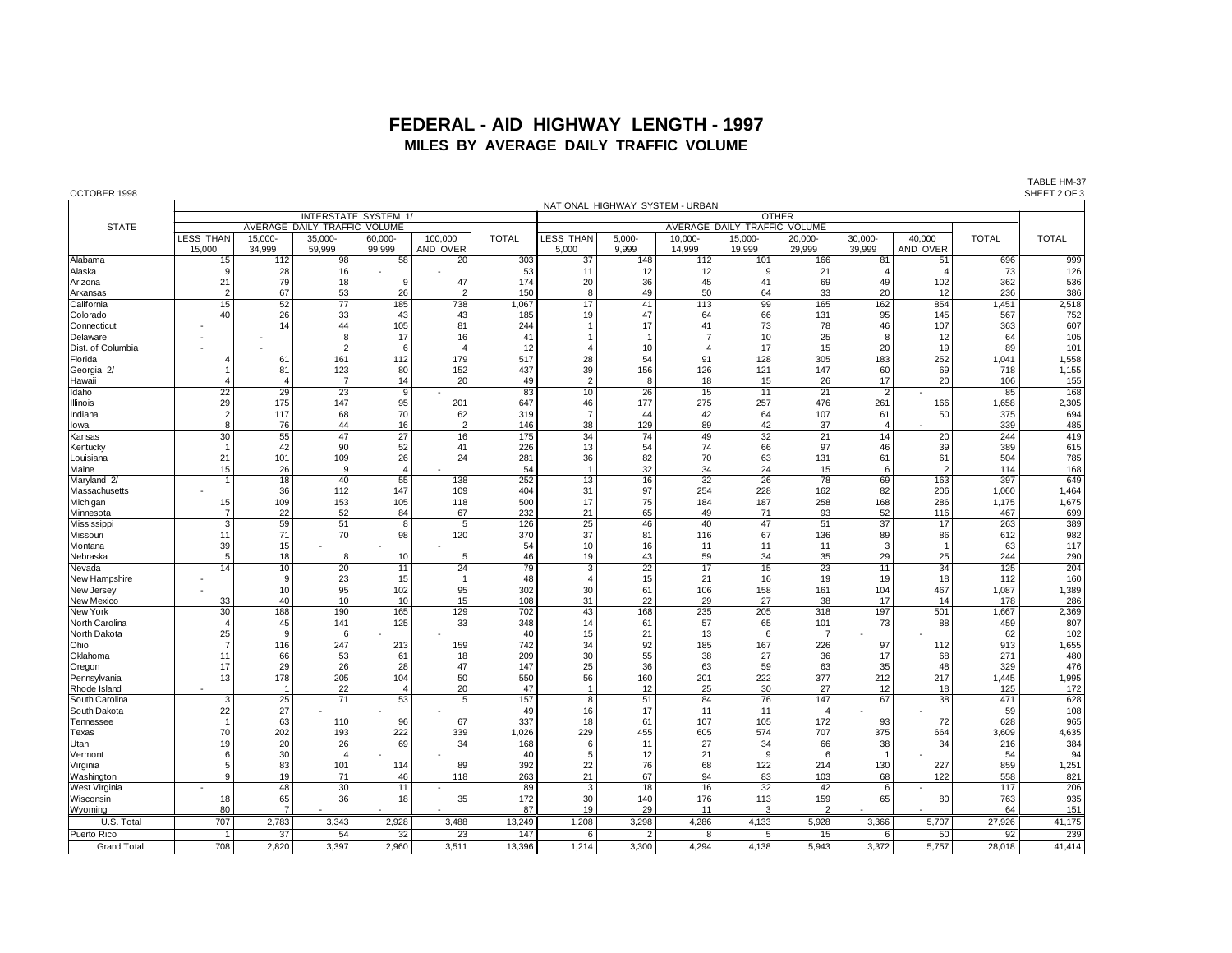## **FEDERAL - AID HIGHWAY LENGTH - 1997 MILES BY AVERAGE DAILY TRAFFIC VOLUME**

| OCTOBER 1998                   |                         |                   |                              |                             |                     |              |                      |                              |                                 |                   |                   |                         |                    |              | SHEET 2 OF 3 |
|--------------------------------|-------------------------|-------------------|------------------------------|-----------------------------|---------------------|--------------|----------------------|------------------------------|---------------------------------|-------------------|-------------------|-------------------------|--------------------|--------------|--------------|
|                                |                         |                   |                              |                             |                     |              |                      |                              | NATIONAL HIGHWAY SYSTEM - URBAN |                   |                   |                         |                    |              |              |
|                                |                         |                   |                              | <b>INTERSTATE SYSTEM 1/</b> |                     |              |                      |                              |                                 |                   | <b>OTHER</b>      |                         |                    |              |              |
| <b>STATE</b>                   |                         |                   | AVERAGE DAILY TRAFFIC VOLUME |                             |                     |              |                      | AVERAGE DAILY TRAFFIC VOLUME |                                 |                   |                   |                         |                    |              |              |
|                                | LESS THAN<br>15,000     | 15,000-<br>34.999 | 35,000-<br>59,999            | 60,000-<br>99,999           | 100,000<br>AND OVER | <b>TOTAL</b> | LESS THAN<br>5,000   | $5,000-$<br>9.999            | 10,000-<br>14,999               | 15,000-<br>19,999 | 20,000-<br>29,999 | 30,000-<br>39,999       | 40,000<br>AND OVER | <b>TOTAL</b> | <b>TOTAL</b> |
| Alabama                        | 15                      | 112               | 98                           | 58                          | 20                  | 303          | 37                   | 148                          | 112                             | 101               | 166               | 81                      | 51                 | 696          | 999          |
| Alaska                         | 9                       | 28                | 16                           |                             |                     | 53           | 11                   | 12                           | 12                              | -9                | 21                | $\overline{\mathbf{A}}$ | $\overline{4}$     | 73           | 126          |
| Arizona                        | 21                      | 79                | 18                           | <sub>9</sub>                | 47                  | 174          | 20                   | 36                           | 45                              | 41                | 69                | 49                      | 102                | 362          | 536          |
| Arkansas                       | $\overline{2}$          | 67                | 53                           | 26                          | $\overline{2}$      | 150          | 8                    | 49                           | 50                              | 64                | 33                | 20                      | 12                 | 236          | 386          |
| California                     | 15                      | 52                | $\overline{77}$              | 185                         | 738                 | 1.067        | $\overline{17}$      | 41                           | 113                             | 99                | 165               | 162                     | 854                | 1.451        | 2,518        |
| Colorado                       | 40                      | 26                | 33                           | 43                          | 43                  | 185          | 19                   | 47                           | 64                              | 66                | 131               | 95                      | 145                | 567          | 752          |
| Connecticut                    |                         | 14                | 44                           | 105                         | 81                  | 244          | $\mathbf{1}$         | 17                           | 41                              | 73                | 78                | 46                      | 107                | 363          | 607          |
| Delaware                       |                         |                   | 8                            | 17                          | 16                  | 41           | $\overline{1}$       | -1                           | $\overline{7}$                  | 10                | 25                | 8                       | 12                 | 64           | 105          |
| Dist. of Columbia              |                         |                   | $\overline{2}$               | 6                           | 4                   | 12           | $\overline{4}$       | 10                           | $\overline{4}$                  | 17                | 15                | 20                      | 19                 | 89           | 101          |
| Florida                        | 4                       | 61                | 161                          | 112                         | 179                 | 517          | 28                   | 54                           | 91                              | 128               | 305               | 183                     | 252                | 1,041        | 1,558        |
| Georgia 2/                     |                         | 81                | 123                          | 80                          | 152                 | 437          | 39                   | 156                          | 126                             | 121               | 147               | 60                      | 69                 | 718          | 1,155        |
| Hawaii                         | 4                       |                   | $\overline{7}$               | 14                          | 20                  | 49           | $\overline{2}$       | 8                            | 18                              | 15                | 26                | 17                      | 20                 | 106          | 155          |
| Idaho                          | $\overline{22}$         | 29                | 23                           | 9                           |                     | 83           | 10                   | 26                           | 15                              | 11                | 21                | $\overline{2}$          |                    | 85           | 168          |
| Illinois                       | 29                      | 175               | 147                          | 95                          | 201                 | 647          | 46                   | 177                          | 275                             | 257               | 476               | 261                     | 166                | 1,658        | 2,305        |
| Indiana                        | $\overline{2}$          | 117               | 68                           | 70                          | 62                  | 319          | $\overline{7}$       | 44                           | 42                              | 64                | 107               | 61                      | 50                 | 375          | 694          |
| lowa                           | 8                       | 76                | 44                           | 16                          | $\overline{2}$      | 146          | 38                   | 129                          | 89                              | 42                | 37                | $\overline{4}$          |                    | 339          | 485          |
| Kansas                         | 30                      | 55                | 47                           | 27                          | 16                  | 175          | 34                   | 74                           | 49                              | 32                | 21                | 14                      | 20                 | 244          | 419          |
| Kentucky                       |                         | 42                | 90                           | 52                          | 41                  | 226          | 13                   | 54                           | 74                              | 66                | 97                | 46                      | 39                 | 389          | 615          |
| Louisiana                      | 21                      | 101               | 109                          | 26                          | 24                  | 281          | 36                   | 82                           | 70                              | 63                | 131               | 61                      | 61                 | 504          | 785          |
| Maine                          | 15                      | 26                | g                            | $\overline{4}$              |                     | 54           | $\overline{1}$       | 32                           | 34                              | 24                | 15                | 6                       | $\overline{2}$     | 114          | 168          |
| Maryland 2/                    |                         | 18                | 40                           | 55                          | 138                 | 252          | $\overline{13}$      | 16                           | 32                              | 26                | 78                | 69                      | 163                | 397          | 649          |
| Massachusetts                  |                         | 36                | 112<br>153                   | 147                         | 109                 | 404          | 31<br>17             | 97                           | 254<br>184                      | 228<br>187        | 162               | 82                      | 206                | 1,060        | 1,464        |
| Michigan                       | 15<br>$\overline{7}$    | 109<br>22         | 52                           | 105<br>84                   | 118<br>67           | 500<br>232   | 21                   | 75<br>65                     | 49                              | 71                | 258<br>93         | 168<br>52               | 286<br>116         | 1.175<br>467 | 1,675<br>699 |
| Minnesota<br>Mississipp        | $\overline{\mathbf{3}}$ | 59                | 51                           | $\overline{8}$              | $\overline{5}$      | 126          | $\overline{25}$      | 46                           | 40                              | 47                | 51                | $\overline{37}$         | 17                 | 263          | 389          |
| Missouri                       | 11                      | 71                | 70                           | 98                          | 120                 | 370          | 37                   | 81                           | 116                             | 67                | 136               | 89                      | 86                 | 612          | 982          |
| Montana                        | 39                      | 15                |                              |                             |                     | 54           | 10                   | 16                           | 11                              | 11                | 11                | 3                       | $\mathbf{1}$       | 63           | 117          |
| Nebraska                       | 5                       | 18                | 8                            | 10                          | 5                   | 46           | 19                   | 43                           | 59                              | 34                | 35                | 29                      | 25                 | 244          | 290          |
| Nevada                         | 14                      | 10                | 20                           | 11                          | 24                  | 79           | 3                    | 22                           | 17                              | 15                | 23                | 11                      | 34                 | 125          | 204          |
| New Hampshire                  |                         | $\mathbf{q}$      | 23                           | 15                          | $\mathbf{1}$        | 48           |                      | 15                           | 21                              | 16                | 19                | 19                      | 18                 | 112          | 160          |
| New Jersey                     |                         | 10                | 95                           | 102                         | 95                  | 302          | 30                   | 61                           | 106                             | 158               | 161               | 104                     | 467                | 1,087        | 1,389        |
| <b>New Mexico</b>              | 33                      | 40                | 10                           | 10                          | 15                  | 108          | 31                   | 22                           | 29                              | 27                | 38                | 17                      | 14                 | 178          | 286          |
| New York                       | 30                      | 188               | 190                          | 165                         | 129                 | 702          | 43                   | 168                          | 235                             | 205               | 318               | 197                     | 501                | 1,667        | 2,369        |
| North Carolina                 | $\overline{4}$          | 45                | 141                          | 125                         | 33                  | 348          | 14                   | 61                           | 57                              | 65                | 101               | 73                      | 88                 | 459          | 807          |
| North Dakota                   | 25                      | $\mathbf{q}$      | 6                            |                             |                     | 40           | 15                   | 21                           | 13                              | 6                 | -7                |                         |                    | 62           | 102          |
| Ohio                           | $\overline{7}$          | 116               | 247                          | 213                         | 159                 | 742          | 34                   | 92                           | 185                             | 167               | 226               | 97                      | 112                | 913          | 1,655        |
| Oklahoma                       | 11                      | 66                | 53                           | 61                          | 18                  | 209          | 30                   | 55                           | 38                              | 27                | 36                | 17                      | 68                 | 271          | 480          |
| Oregon                         | 17                      | 29                | 26                           | 28                          | 47                  | 147          | 25                   | 36                           | 63                              | 59                | 63                | 35                      | 48                 | 329          | 476          |
| Pennsylvania                   | 13                      | 178               | 205<br>22                    | 104                         | 50<br>20            | 550<br>47    | 56<br>$\overline{1}$ | 160                          | 201<br>25                       | 222<br>30         | 377<br>27         | 212                     | 217                | 1,445<br>125 | 1,995<br>172 |
| Rhode Island<br>South Carolina | 3                       | 25                | 71                           | $\overline{4}$<br>53        | 5                   | 157          | 8                    | 12<br>51                     | 84                              | 76                | 147               | 12<br>67                | 18<br>38           | 471          | 628          |
| South Dakota                   | 22                      | 27                |                              |                             |                     | 49           |                      |                              | 11                              | 11                |                   |                         |                    | 59           | 108          |
| Tennessee                      |                         | 63                | 110                          | 96                          | 67                  | 337          | 16<br>18             | 17<br>61                     | 107                             | 105               | 172               | 93                      | 72                 | 628          | 965          |
| Texas                          | 70                      | 202               | 193                          | 222                         | 339                 | 1,026        | 229                  | 455                          | 605                             | 574               | 707               | 375                     | 664                | 3,609        | 4,635        |
| Utah                           | 19                      | 20                | 26                           | 69                          | 34                  | 168          | 6                    | 11                           | 27                              | 34                | 66                | 38                      | 34                 | 216          | 384          |
| Vermont                        | 6                       | 30                | $\overline{4}$               |                             |                     | 40           | 5                    | 12                           | 21                              | 9                 |                   | -1                      |                    | 54           | 94           |
| Virginia                       | 5                       | 83                | 101                          | 114                         | 89                  | 392          | 22                   | 76                           | 68                              | 122               | 214               | 130                     | 227                | 859          | 1,251        |
| Washington                     | 9                       | 19                | 71                           | 46                          | 118                 | 263          | 21                   | 67                           | 94                              | 83                | 103               | 68                      | 122                | 558          | 821          |
| West Virginia                  |                         | 48                | 30                           | 11                          |                     | 89           | 3                    | 18                           | 16                              | 32                | 42                | 6                       |                    | 117          | 206          |
| Wisconsin                      | 18                      | 65                | 36                           | 18                          | 35                  | 172          | 30                   | 140                          | 176                             | 113               | 159               | 65                      | 80                 | 763          | 935          |
| Wyoming                        | 80                      | $\overline{7}$    |                              |                             |                     | 87           | 19                   | 29                           | 11                              | 3                 | 2                 |                         |                    | 64           | 151          |
| U.S. Total                     | 707                     | 2,783             | 3,343                        | 2,928                       | 3,488               | 13,249       | 1,208                | 3,298                        | 4,286                           | 4,133             | 5,928             | 3,366                   | 5,707              | 27,926       | 41,175       |
| Puerto Rico                    | $\overline{1}$          | $\overline{37}$   | 54                           | 32                          | 23                  | 147          | 6                    | $\overline{2}$               | 8                               | 5                 | 15                | 6                       | 50                 | 92           | 239          |

Grand Total | 708 |2,820 |3,397 |2,960 |3,511 | 13,396 || 1,214 | 3,300 | 4,294 | 4,138 | 5,943 | 3,372 | 5,757 | 28,018 || 41,414 |

TABLE HM-37<br>SHEET 2 OF 3